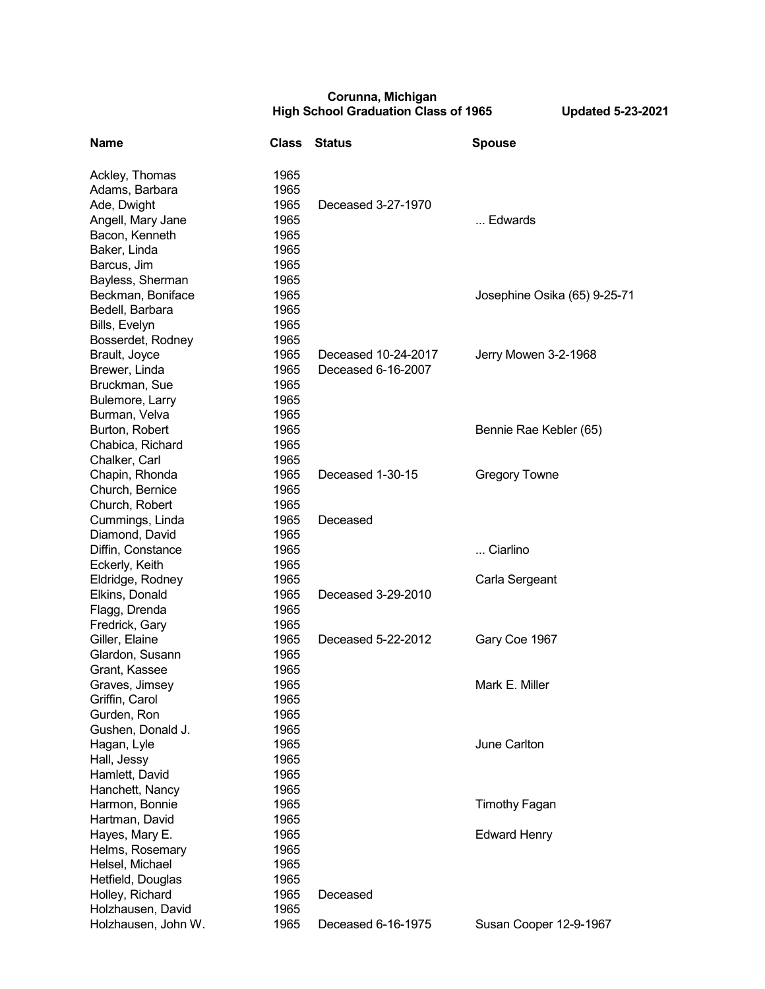## **Corunna, Michigan High School Graduation Class of 1965 Updated 5-23-2021**

| <b>Name</b>         | <b>Class</b> | <b>Status</b>       | <b>Spouse</b>                |
|---------------------|--------------|---------------------|------------------------------|
| Ackley, Thomas      | 1965         |                     |                              |
| Adams, Barbara      | 1965         |                     |                              |
| Ade, Dwight         | 1965         | Deceased 3-27-1970  |                              |
| Angell, Mary Jane   | 1965         |                     | Edwards                      |
| Bacon, Kenneth      | 1965         |                     |                              |
| Baker, Linda        | 1965         |                     |                              |
| Barcus, Jim         | 1965         |                     |                              |
| Bayless, Sherman    | 1965         |                     |                              |
| Beckman, Boniface   | 1965         |                     | Josephine Osika (65) 9-25-71 |
| Bedell, Barbara     | 1965         |                     |                              |
| Bills, Evelyn       | 1965         |                     |                              |
| Bosserdet, Rodney   | 1965         |                     |                              |
| Brault, Joyce       | 1965         | Deceased 10-24-2017 | Jerry Mowen 3-2-1968         |
| Brewer, Linda       | 1965         | Deceased 6-16-2007  |                              |
| Bruckman, Sue       | 1965         |                     |                              |
| Bulemore, Larry     | 1965         |                     |                              |
| Burman, Velva       | 1965         |                     |                              |
| Burton, Robert      | 1965         |                     | Bennie Rae Kebler (65)       |
| Chabica, Richard    | 1965         |                     |                              |
| Chalker, Carl       | 1965         |                     |                              |
| Chapin, Rhonda      | 1965         | Deceased 1-30-15    | <b>Gregory Towne</b>         |
| Church, Bernice     | 1965         |                     |                              |
| Church, Robert      | 1965         |                     |                              |
| Cummings, Linda     | 1965         | Deceased            |                              |
| Diamond, David      | 1965         |                     |                              |
| Diffin, Constance   | 1965         |                     | Ciarlino                     |
| Eckerly, Keith      | 1965         |                     |                              |
| Eldridge, Rodney    | 1965         |                     | Carla Sergeant               |
| Elkins, Donald      | 1965         | Deceased 3-29-2010  |                              |
| Flagg, Drenda       | 1965         |                     |                              |
| Fredrick, Gary      | 1965         |                     |                              |
| Giller, Elaine      | 1965         | Deceased 5-22-2012  | Gary Coe 1967                |
| Glardon, Susann     | 1965         |                     |                              |
| Grant, Kassee       | 1965         |                     |                              |
| Graves, Jimsey      | 1965         |                     | Mark E. Miller               |
| Griffin, Carol      | 1965         |                     |                              |
| Gurden, Ron         | 1965         |                     |                              |
| Gushen, Donald J.   | 1965         |                     |                              |
| Hagan, Lyle         | 1965         |                     | June Carlton                 |
| Hall, Jessy         | 1965         |                     |                              |
| Hamlett, David      | 1965         |                     |                              |
| Hanchett, Nancy     | 1965         |                     |                              |
| Harmon, Bonnie      | 1965         |                     | <b>Timothy Fagan</b>         |
| Hartman, David      | 1965         |                     |                              |
| Hayes, Mary E.      | 1965         |                     | <b>Edward Henry</b>          |
| Helms, Rosemary     | 1965         |                     |                              |
| Helsel, Michael     | 1965         |                     |                              |
| Hetfield, Douglas   | 1965         |                     |                              |
| Holley, Richard     | 1965         | Deceased            |                              |
| Holzhausen, David   | 1965         |                     |                              |
| Holzhausen, John W. | 1965         | Deceased 6-16-1975  | Susan Cooper 12-9-1967       |
|                     |              |                     |                              |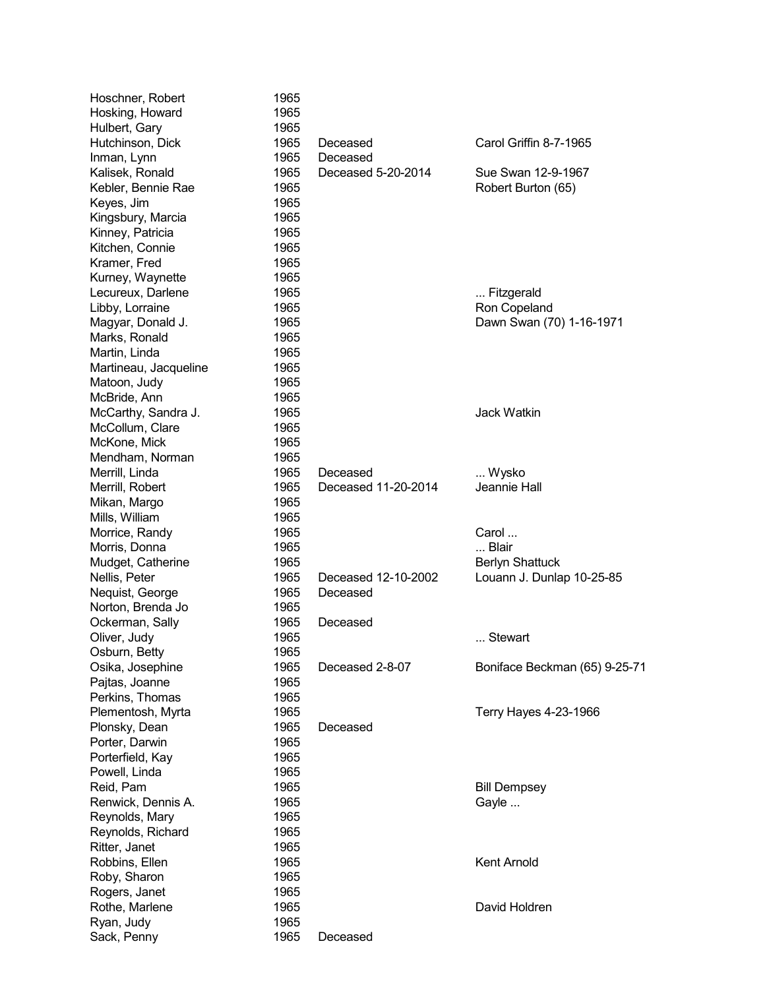| Hoschner, Robert      | 1965 |                     |                               |
|-----------------------|------|---------------------|-------------------------------|
| Hosking, Howard       | 1965 |                     |                               |
| Hulbert, Gary         | 1965 |                     |                               |
| Hutchinson, Dick      | 1965 | Deceased            | Carol Griffin 8-7-1965        |
| Inman, Lynn           | 1965 | Deceased            |                               |
| Kalisek, Ronald       | 1965 | Deceased 5-20-2014  | Sue Swan 12-9-1967            |
| Kebler, Bennie Rae    | 1965 |                     | Robert Burton (65)            |
| Keyes, Jim            | 1965 |                     |                               |
| Kingsbury, Marcia     | 1965 |                     |                               |
| Kinney, Patricia      | 1965 |                     |                               |
| Kitchen, Connie       | 1965 |                     |                               |
| Kramer, Fred          | 1965 |                     |                               |
| Kurney, Waynette      | 1965 |                     |                               |
| Lecureux, Darlene     | 1965 |                     | Fitzgerald                    |
| Libby, Lorraine       | 1965 |                     | Ron Copeland                  |
| Magyar, Donald J.     | 1965 |                     | Dawn Swan (70) 1-16-1971      |
| Marks, Ronald         | 1965 |                     |                               |
| Martin, Linda         | 1965 |                     |                               |
| Martineau, Jacqueline | 1965 |                     |                               |
| Matoon, Judy          | 1965 |                     |                               |
| McBride, Ann          | 1965 |                     |                               |
| McCarthy, Sandra J.   | 1965 |                     | <b>Jack Watkin</b>            |
| McCollum, Clare       | 1965 |                     |                               |
| McKone, Mick          | 1965 |                     |                               |
| Mendham, Norman       | 1965 |                     |                               |
| Merrill, Linda        | 1965 | Deceased            | Wysko                         |
| Merrill, Robert       | 1965 | Deceased 11-20-2014 | Jeannie Hall                  |
| Mikan, Margo          | 1965 |                     |                               |
| Mills, William        | 1965 |                     |                               |
| Morrice, Randy        | 1965 |                     | Carol                         |
| Morris, Donna         | 1965 |                     | Blair                         |
| Mudget, Catherine     | 1965 |                     | <b>Berlyn Shattuck</b>        |
| Nellis, Peter         | 1965 | Deceased 12-10-2002 | Louann J. Dunlap 10-25-85     |
| Nequist, George       | 1965 | Deceased            |                               |
| Norton, Brenda Jo     | 1965 |                     |                               |
| Ockerman, Sally       | 1965 | Deceased            |                               |
| Oliver, Judy          | 1965 |                     | Stewart                       |
| Osburn, Betty         | 1965 |                     |                               |
| Osika, Josephine      | 1965 | Deceased 2-8-07     | Boniface Beckman (65) 9-25-71 |
| Pajtas, Joanne        | 1965 |                     |                               |
| Perkins, Thomas       | 1965 |                     |                               |
| Plementosh, Myrta     | 1965 |                     | Terry Hayes 4-23-1966         |
| Plonsky, Dean         | 1965 | Deceased            |                               |
| Porter, Darwin        | 1965 |                     |                               |
| Porterfield, Kay      | 1965 |                     |                               |
| Powell, Linda         | 1965 |                     |                               |
| Reid, Pam             | 1965 |                     | <b>Bill Dempsey</b>           |
| Renwick, Dennis A.    | 1965 |                     | Gayle                         |
| Reynolds, Mary        | 1965 |                     |                               |
| Reynolds, Richard     | 1965 |                     |                               |
| Ritter, Janet         | 1965 |                     |                               |
| Robbins, Ellen        | 1965 |                     | <b>Kent Arnold</b>            |
| Roby, Sharon          | 1965 |                     |                               |
| Rogers, Janet         | 1965 |                     |                               |
| Rothe, Marlene        | 1965 |                     | David Holdren                 |
| Ryan, Judy            | 1965 |                     |                               |
| Sack, Penny           | 1965 | Deceased            |                               |